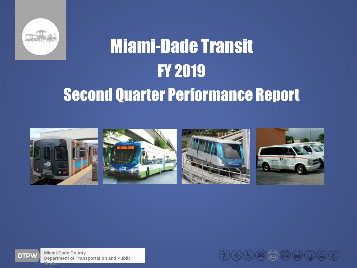

# Miami-Dade Transit FY 2019 Second Quarter Performance Report





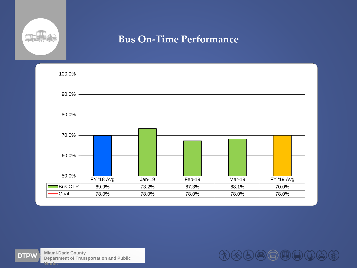

#### **Bus On-Time Performance**





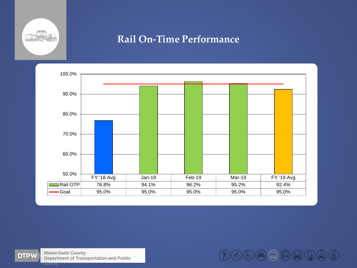

#### **Rail On-Time Performance**





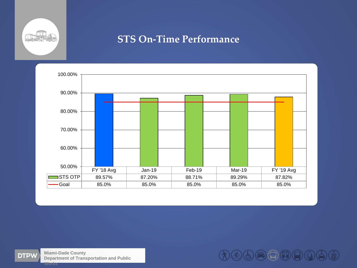

#### **STS On-Time Performance**





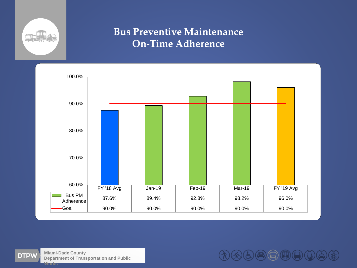

## **Bus Preventive Maintenance On-Time Adherence**



**Miami-Dade County Department of Transportation and Public Works**

 $\bigoplus\limits_{i=1}^n\bigoplus\limits_{j=1}^n\bigoplus\limits_{j=1}^n\bigoplus\limits_{j=1}^n\bigoplus\limits_{j=1}^n\bigoplus\limits_{j=1}^n\bigoplus\limits_{j=1}^n\bigoplus\limits_{j=1}^n\bigoplus\limits_{j=1}^n\bigoplus\limits_{j=1}^n\bigoplus\limits_{j=1}^n\bigoplus\limits_{j=1}^n\bigoplus\limits_{j=1}^n\bigoplus\limits_{j=1}^n\bigoplus\limits_{j=1}^n\bigoplus\limits_{j=1}^n\bigoplus\limits_{j=1}^$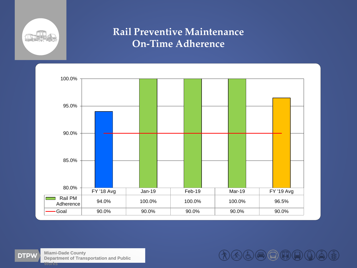

## **Rail Preventive Maintenance On-Time Adherence**





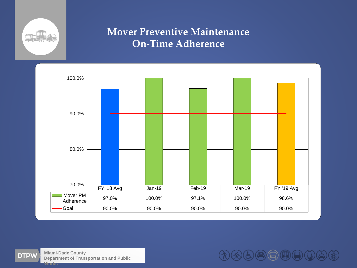

### **Mover Preventive Maintenance On-Time Adherence**





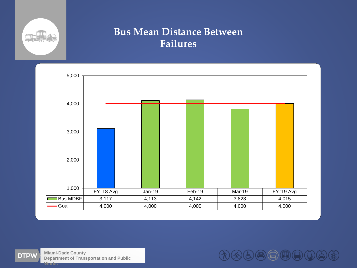

#### **Bus Mean Distance Between Failures**





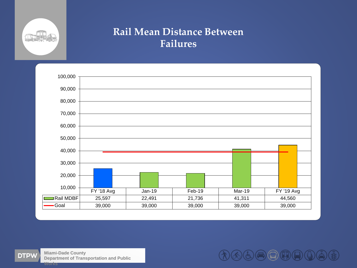

#### **Rail Mean Distance Between Failures**





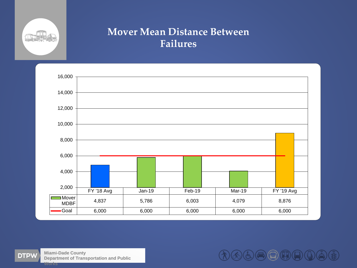

### **Mover Mean Distance Between Failures**



**DTPW** 

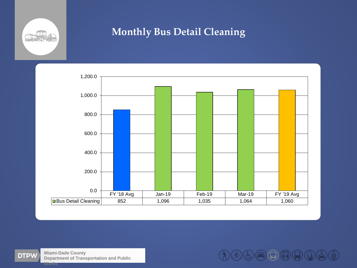

# **Monthly Bus Detail Cleaning**





**Miami-Dade County Department of Transportation and Public Works**

60000006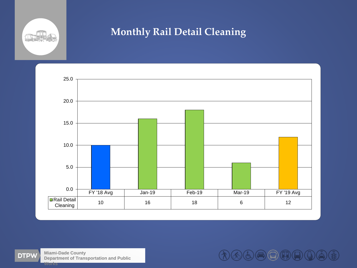

# **Monthly Rail Detail Cleaning**



**Miami-Dade County DTPW Department of Transportation and Public Works**

 $\mathcal{O} \otimes \mathcal{O} \oplus \mathcal{O} \oplus \mathcal{O} \oplus \mathcal{O}$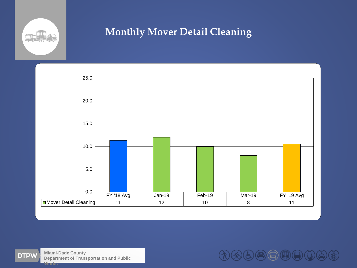

# **Monthly Mover Detail Cleaning**



**Miami-Dade County Department of Transportation and Public Works**

**GOOOOOO**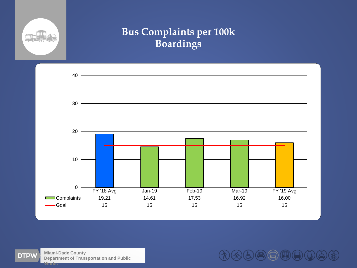

# **Bus Complaints per 100k Boardings**





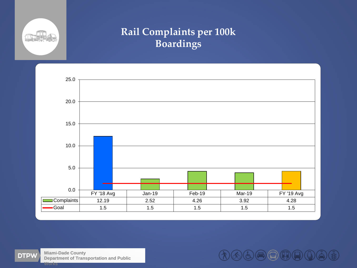

# **Rail Complaints per 100k Boardings**





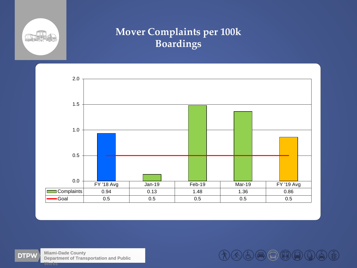

# **Mover Complaints per 100k Boardings**





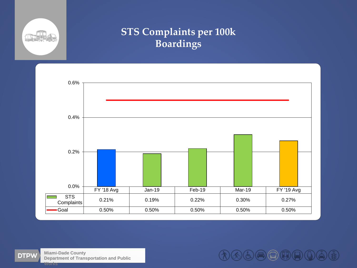

# **STS Complaints per 100k Boardings**





**GOOOOOOC**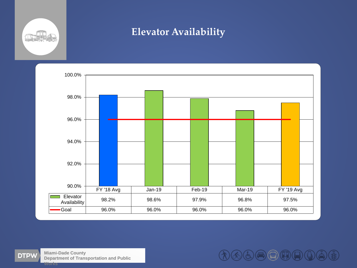

#### **Elevator Availability**



**Miami-Dade County Department of Transportation and Public Works**

①④⑤⑤⑤①①①⑥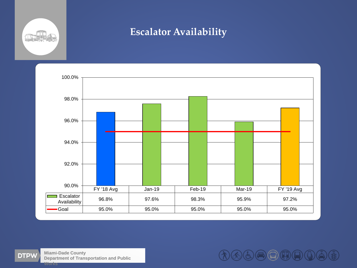

#### **Escalator Availability**



**Miami-Dade County Department of Transportation and Public Works**

①④⑤⑤⑤①①①⑥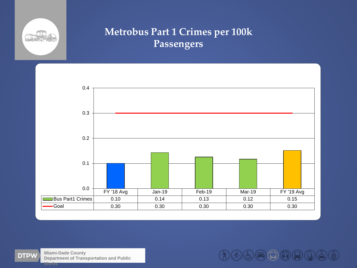

# **Metrobus Part 1 Crimes per 100k Passengers**



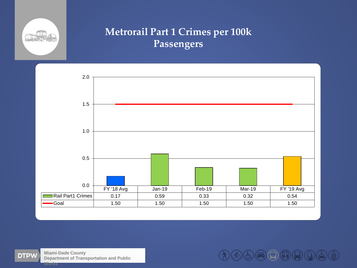

# **Metrorail Part 1 Crimes per 100k Passengers**



**Miami-Dade County Department of Transportation and Public Works**

わんもう日中日の